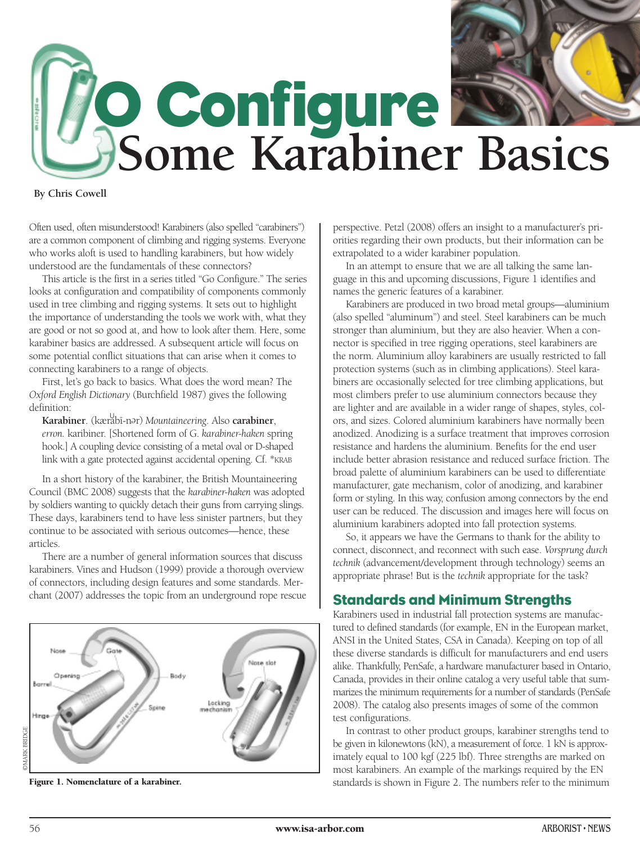

**By Chris Cowell**

Often used, often misunderstood! Karabiners (also spelled "carabiners") are a common component of climbing and rigging systems. Everyone who works aloft is used to handling karabiners, but how widely understood are the fundamentals of these connectors?

This article is the first in a series titled "Go Configure." The series looks at configuration and compatibility of components commonly used in tree climbing and rigging systems. It sets out to highlight the importance of understanding the tools we work with, what they are good or not so good at, and how to look after them. Here, some karabiner basics are addressed. A subsequent article will focus on some potential conflict situations that can arise when it comes to connecting karabiners to a range of objects.

First, let's go back to basics. What does the word mean? The *Oxford English Dictionary* (Burchfield 1987) gives the following definition:

**Karabiner**. (kærabī-nər) Mountaineering. Also **carabiner**, *erron.* karibiner. [Shortened form of G. *karabiner-haken* spring hook.] A coupling device consisting of a metal oval or D-shaped link with a gate protected against accidental opening. Cf. \*KRAB

In a short history of the karabiner, the British Mountaineering Council (BMC 2008) suggests that the *karabiner-haken* was adopted by soldiers wanting to quickly detach their guns from carrying slings. These days, karabiners tend to have less sinister partners, but they continue to be associated with serious outcomes—hence, these articles.

There are a number of general information sources that discuss karabiners. Vines and Hudson (1999) provide a thorough overview of connectors, including design features and some standards. Merchant (2007) addresses the topic from an underground rope rescue



**Figure 1. Nomenclature of a karabiner.**

perspective. Petzl (2008) offers an insight to a manufacturer's priorities regarding their own products, but their information can be extrapolated to a wider karabiner population.

In an attempt to ensure that we are all talking the same language in this and upcoming discussions, Figure 1 identifies and names the generic features of a karabiner.

Karabiners are produced in two broad metal groups—aluminium (also spelled "aluminum") and steel. Steel karabiners can be much stronger than aluminium, but they are also heavier. When a connector is specified in tree rigging operations, steel karabiners are the norm. Aluminium alloy karabiners are usually restricted to fall protection systems (such as in climbing applications). Steel karabiners are occasionally selected for tree climbing applications, but most climbers prefer to use aluminium connectors because they are lighter and are available in a wider range of shapes, styles, colors, and sizes. Colored aluminium karabiners have normally been anodized. Anodizing is a surface treatment that improves corrosion resistance and hardens the aluminium. Benefits for the end user include better abrasion resistance and reduced surface friction. The broad palette of aluminium karabiners can be used to differentiate manufacturer, gate mechanism, color of anodizing, and karabiner form or styling. In this way, confusion among connectors by the end user can be reduced. The discussion and images here will focus on aluminium karabiners adopted into fall protection systems.

So, it appears we have the Germans to thank for the ability to connect, disconnect, and reconnect with such ease. *Vorsprung durch technik* (advancement/development through technology) seems an appropriate phrase! But is the *technik* appropriate for the task?

### **Standards and Minimum Strengths**

Karabiners used in industrial fall protection systems are manufactured to defined standards (for example, EN in the European market, ANSI in the United States, CSA in Canada). Keeping on top of all these diverse standards is difficult for manufacturers and end users alike. Thankfully, PenSafe, a hardware manufacturer based in Ontario, Canada, provides in their online catalog a very useful table that summarizes the minimum requirements for a number of standards (PenSafe 2008). The catalog also presents images of some of the common test configurations.

In contrast to other product groups, karabiner strengths tend to be given in kilonewtons (kN), a measurement of force. 1 kN is approximately equal to 100 kgf (225 lbf). Three strengths are marked on most karabiners. An example of the markings required by the EN standards is shown in Figure 2. The numbers refer to the minimum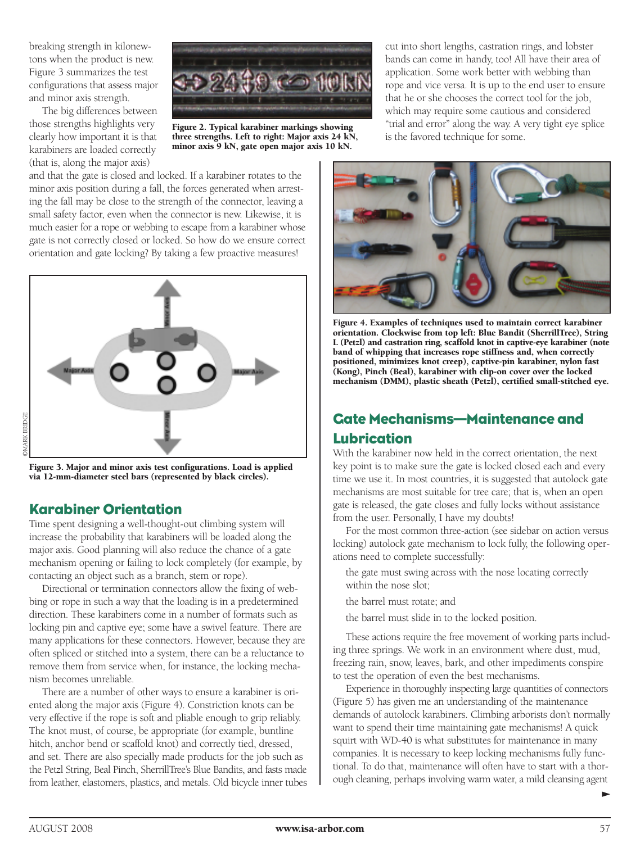breaking strength in kilonewtons when the product is new. Figure 3 summarizes the test configurations that assess major and minor axis strength.

The big differences between those strengths highlights very clearly how important it is that karabiners are loaded correctly (that is, along the major axis)



**Figure 2. Typical karabiner markings showing three strengths. Left to right: Major axis 24 kN, minor axis 9 kN, gate open major axis 10 kN.**

and that the gate is closed and locked. If a karabiner rotates to the minor axis position during a fall, the forces generated when arresting the fall may be close to the strength of the connector, leaving a small safety factor, even when the connector is new. Likewise, it is much easier for a rope or webbing to escape from a karabiner whose gate is not correctly closed or locked. So how do we ensure correct orientation and gate locking? By taking a few proactive measures!



**Figure 3. Major and minor axis test configurations. Load is applied via 12-mm-diameter steel bars (represented by black circles).**

## **Karabiner Orientation**

©MARK BRIDGE

**DMARK BRIDGE** 

Time spent designing a well-thought-out climbing system will increase the probability that karabiners will be loaded along the major axis. Good planning will also reduce the chance of a gate mechanism opening or failing to lock completely (for example, by contacting an object such as a branch, stem or rope).

Directional or termination connectors allow the fixing of webbing or rope in such a way that the loading is in a predetermined direction. These karabiners come in a number of formats such as locking pin and captive eye; some have a swivel feature. There are many applications for these connectors. However, because they are often spliced or stitched into a system, there can be a reluctance to remove them from service when, for instance, the locking mechanism becomes unreliable.

There are a number of other ways to ensure a karabiner is oriented along the major axis (Figure 4). Constriction knots can be very effective if the rope is soft and pliable enough to grip reliably. The knot must, of course, be appropriate (for example, buntline hitch, anchor bend or scaffold knot) and correctly tied, dressed, and set. There are also specially made products for the job such as the Petzl String, Beal Pinch, SherrillTree's Blue Bandits, and fasts made from leather, elastomers, plastics, and metals. Old bicycle inner tubes cut into short lengths, castration rings, and lobster bands can come in handy, too! All have their area of application. Some work better with webbing than rope and vice versa. It is up to the end user to ensure that he or she chooses the correct tool for the job, which may require some cautious and considered "trial and error" along the way. A very tight eye splice is the favored technique for some.



**Figure 4. Examples of techniques used to maintain correct karabiner orientation. Clockwise from top left: Blue Bandit (SherrillTree), String L (Petzl) and castration ring, scaffold knot in captive-eye karabiner (note band of whipping that increases rope stiffness and, when correctly positioned, minimizes knot creep), captive-pin karabiner, nylon fast (Kong), Pinch (Beal), karabiner with clip-on cover over the locked mechanism (DMM), plastic sheath (Petzl), certified small-stitched eye.**

## **Gate Mechanisms—Maintenance and Lubrication**

With the karabiner now held in the correct orientation, the next key point is to make sure the gate is locked closed each and every time we use it. In most countries, it is suggested that autolock gate mechanisms are most suitable for tree care; that is, when an open gate is released, the gate closes and fully locks without assistance from the user. Personally, I have my doubts!

For the most common three-action (see sidebar on action versus locking) autolock gate mechanism to lock fully, the following operations need to complete successfully:

the gate must swing across with the nose locating correctly within the nose slot;

the barrel must rotate; and

the barrel must slide in to the locked position.

These actions require the free movement of working parts including three springs. We work in an environment where dust, mud, freezing rain, snow, leaves, bark, and other impediments conspire to test the operation of even the best mechanisms.

Experience in thoroughly inspecting large quantities of connectors (Figure 5) has given me an understanding of the maintenance demands of autolock karabiners. Climbing arborists don't normally want to spend their time maintaining gate mechanisms! A quick squirt with WD-40 is what substitutes for maintenance in many companies. It is necessary to keep locking mechanisms fully functional. To do that, maintenance will often have to start with a thorough cleaning, perhaps involving warm water, a mild cleansing agent

 $\blacktriangleright$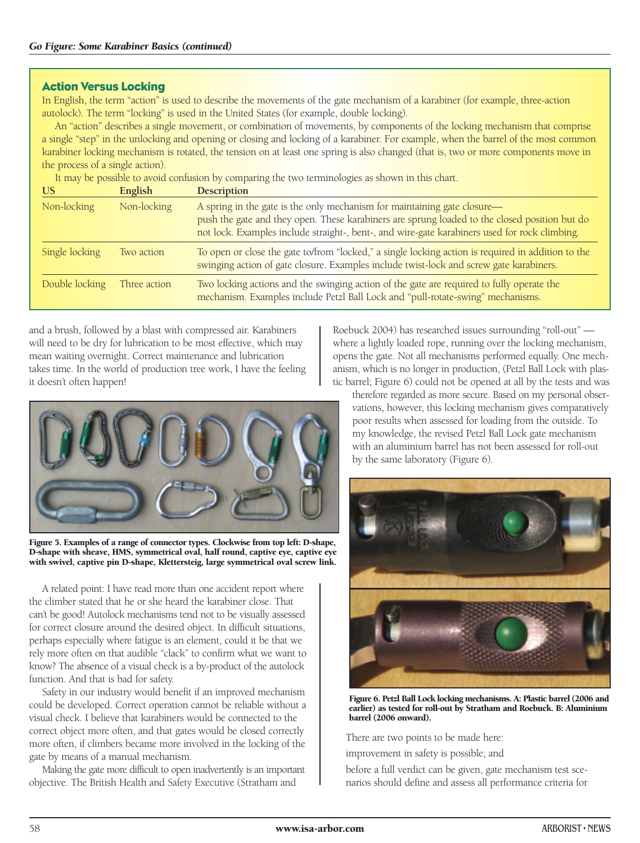#### **Action Versus Locking**

In English, the term "action" is used to describe the movements of the gate mechanism of a karabiner (for example, three-action autolock). The term "locking" is used in the United States (for example, double locking).

An "action" describes a single movement, or combination of movements, by components of the locking mechanism that comprise a single "step" in the unlocking and opening or closing and locking of a karabiner. For example, when the barrel of the most common karabiner locking mechanism is rotated, the tension on at least one spring is also changed (that is, two or more components move in the process of a single action).

It may be possible to avoid confusion by comparing the two terminologies as shown in this chart.

| US             | English      | <b>Description</b>                                                                                                                                                                                                                                                         |
|----------------|--------------|----------------------------------------------------------------------------------------------------------------------------------------------------------------------------------------------------------------------------------------------------------------------------|
| Non-locking    | Non-locking  | A spring in the gate is the only mechanism for maintaining gate closure-<br>push the gate and they open. These karabiners are sprung loaded to the closed position but do<br>not lock. Examples include straight-, bent-, and wire-gate karabiners used for rock climbing. |
| Single locking | Two action   | To open or close the gate to/from "locked," a single locking action is required in addition to the<br>swinging action of gate closure. Examples include twist-lock and screw gate karabiners.                                                                              |
| Double locking | Three action | Two locking actions and the swinging action of the gate are required to fully operate the<br>mechanism. Examples include Petzl Ball Lock and "pull-rotate-swing" mechanisms.                                                                                               |

and a brush, followed by a blast with compressed air. Karabiners will need to be dry for lubrication to be most effective, which may mean waiting overnight. Correct maintenance and lubrication takes time. In the world of production tree work, I have the feeling it doesn't often happen!



**Figure 5. Examples of a range of connector types. Clockwise from top left: D-shape, D-shape with sheave, HMS, symmetrical oval, half round, captive eye, captive eye with swivel, captive pin D-shape, Klettersteig, large symmetrical oval screw link.**

A related point: I have read more than one accident report where the climber stated that he or she heard the karabiner close. That can't be good! Autolock mechanisms tend not to be visually assessed for correct closure around the desired object. In difficult situations, perhaps especially where fatigue is an element, could it be that we rely more often on that audible "clack" to confirm what we want to know? The absence of a visual check is a by-product of the autolock function. And that is bad for safety.

Safety in our industry would benefit if an improved mechanism could be developed. Correct operation cannot be reliable without a visual check. I believe that karabiners would be connected to the correct object more often, and that gates would be closed correctly more often, if climbers became more involved in the locking of the gate by means of a manual mechanism.

Making the gate more difficult to open inadvertently is an important objective. The British Health and Safety Executive (Stratham and

Roebuck 2004) has researched issues surrounding "roll-out" where a lightly loaded rope, running over the locking mechanism, opens the gate. Not all mechanisms performed equally. One mechanism, which is no longer in production, (Petzl Ball Lock with plastic barrel; Figure 6) could not be opened at all by the tests and was

therefore regarded as more secure. Based on my personal observations, however, this locking mechanism gives comparatively poor results when assessed for loading from the outside. To my knowledge, the revised Petzl Ball Lock gate mechanism with an aluminium barrel has not been assessed for roll-out by the same laboratory (Figure 6).



**Figure 6. Petzl Ball Lock locking mechanisms. A: Plastic barrel (2006 and earlier) as tested for roll-out by Stratham and Roebuck. B: Aluminium barrel (2006 onward).**

There are two points to be made here:

improvement in safety is possible; and

before a full verdict can be given, gate mechanism test scenarios should define and assess all performance criteria for